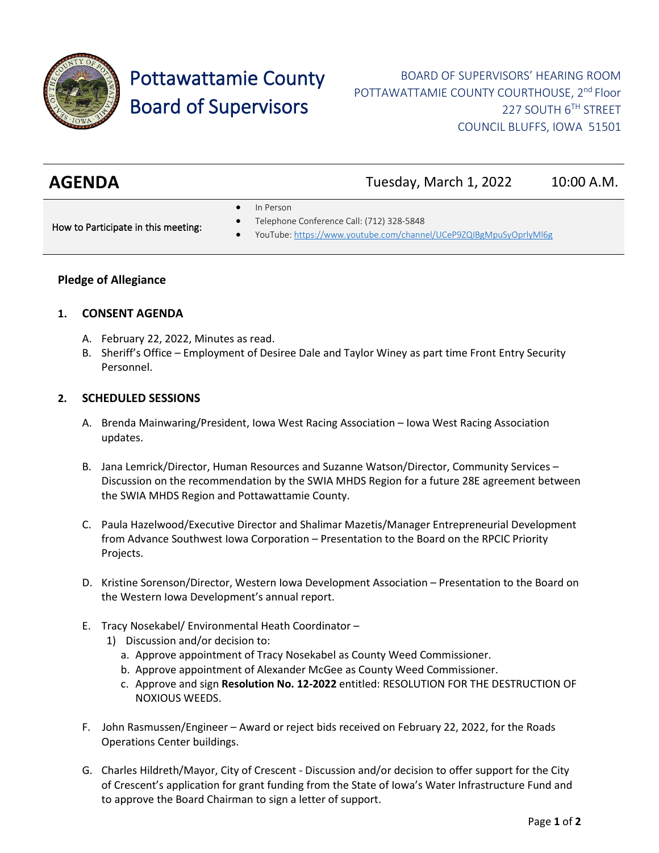

# Pottawattamie County Board of Supervisors

BOARD OF SUPERVISORS' HEARING ROOM POTTAWATTAMIE COUNTY COURTHOUSE, 2<sup>nd</sup> Floor 227 SOUTH 6TH STREET COUNCIL BLUFFS, IOWA 51501

| <b>AGENDA</b> | Tuesday, March 1, 2022 | 10:00 A.M. |
|---------------|------------------------|------------|
|               |                        |            |

In Person

How to Participate in this meeting:

- Telephone Conference Call: (712) 328-5848
- YouTube[: https://www.youtube.com/channel/UCeP9ZQIBgMpuSyOprlyMl6g](https://www.youtube.com/channel/UCeP9ZQIBgMpuSyOprlyMl6g)

# **Pledge of Allegiance**

# **1. CONSENT AGENDA**

- A. February 22, 2022, Minutes as read.
- B. Sheriff's Office Employment of Desiree Dale and Taylor Winey as part time Front Entry Security Personnel.

## **2. SCHEDULED SESSIONS**

- A. Brenda Mainwaring/President, Iowa West Racing Association Iowa West Racing Association updates.
- B. Jana Lemrick/Director, Human Resources and Suzanne Watson/Director, Community Services Discussion on the recommendation by the SWIA MHDS Region for a future 28E agreement between the SWIA MHDS Region and Pottawattamie County.
- C. Paula Hazelwood/Executive Director and Shalimar Mazetis/Manager Entrepreneurial Development from Advance Southwest Iowa Corporation – Presentation to the Board on the RPCIC Priority Projects.
- D. Kristine Sorenson/Director, Western Iowa Development Association Presentation to the Board on the Western Iowa Development's annual report.
- E. Tracy Nosekabel/ Environmental Heath Coordinator
	- 1) Discussion and/or decision to:
		- a. Approve appointment of Tracy Nosekabel as County Weed Commissioner.
		- b. Approve appointment of Alexander McGee as County Weed Commissioner.
		- c. Approve and sign **Resolution No. 12-2022** entitled: RESOLUTION FOR THE DESTRUCTION OF NOXIOUS WEEDS.
- F. John Rasmussen/Engineer Award or reject bids received on February 22, 2022, for the Roads Operations Center buildings.
- G. Charles Hildreth/Mayor, City of Crescent Discussion and/or decision to offer support for the City of Crescent's application for grant funding from the State of Iowa's Water Infrastructure Fund and to approve the Board Chairman to sign a letter of support.